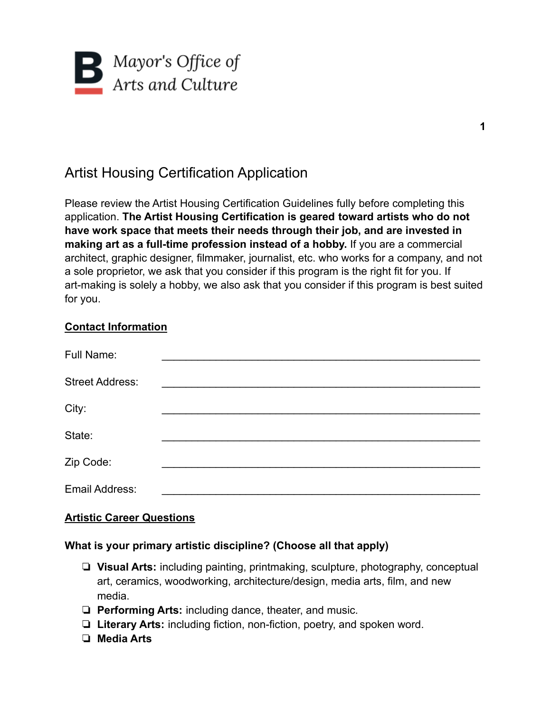

# Artist Housing Certification Application

Please review the Artist Housing Certification Guidelines fully before completing this application. **The Artist Housing Certification is geared toward artists who do not have work space that meets their needs through their job, and are invested in making art as a full-time profession instead of a hobby.** If you are a commercial architect, graphic designer, filmmaker, journalist, etc. who works for a company, and not a sole proprietor, we ask that you consider if this program is the right fit for you. If art-making is solely a hobby, we also ask that you consider if this program is best suited for you.

### **Contact Information**

| Full Name:             |  |  |
|------------------------|--|--|
| <b>Street Address:</b> |  |  |
| City:                  |  |  |
| State:                 |  |  |
| Zip Code:              |  |  |
| Email Address:         |  |  |

### **Artistic Career Questions**

### **What is your primary artistic discipline? (Choose all that apply)**

- ❏ **Visual Arts:** including painting, printmaking, sculpture, photography, conceptual art, ceramics, woodworking, architecture/design, media arts, film, and new media.
- ❏ **Performing Arts:** including dance, theater, and music.
- ❏ **Literary Arts:** including fiction, non-fiction, poetry, and spoken word.
- ❏ **Media Arts**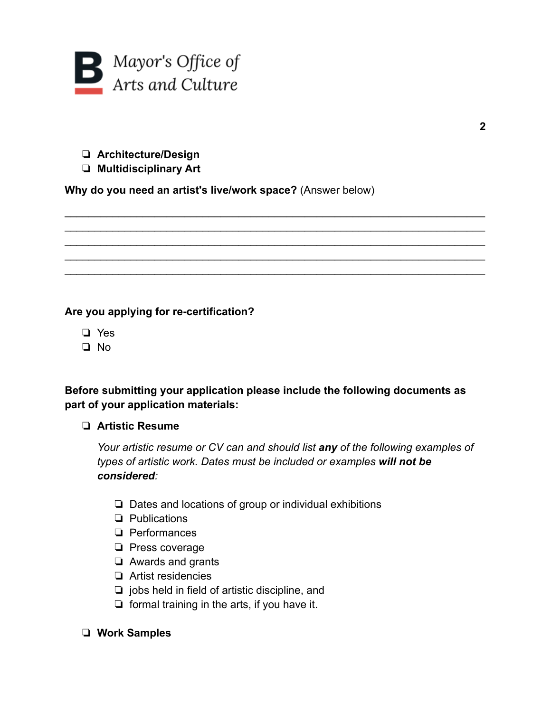

❏ **Architecture/Design**

## ❏ **Multidisciplinary Art**

**Why do you need an artist's live/work space?** (Answer below)

### **Are you applying for re-certification?**

- ❏ Yes
- ❏ No

## **Before submitting your application please include the following documents as part of your application materials:**

\_\_\_\_\_\_\_\_\_\_\_\_\_\_\_\_\_\_\_\_\_\_\_\_\_\_\_\_\_\_\_\_\_\_\_\_\_\_\_\_\_\_\_\_\_\_\_\_\_\_\_\_\_\_\_\_\_\_\_\_\_\_\_\_\_\_\_\_\_\_ \_\_\_\_\_\_\_\_\_\_\_\_\_\_\_\_\_\_\_\_\_\_\_\_\_\_\_\_\_\_\_\_\_\_\_\_\_\_\_\_\_\_\_\_\_\_\_\_\_\_\_\_\_\_\_\_\_\_\_\_\_\_\_\_\_\_\_\_\_\_  $\mathcal{L}_\text{max} = \mathcal{L}_\text{max} = \mathcal{L}_\text{max} = \mathcal{L}_\text{max} = \mathcal{L}_\text{max} = \mathcal{L}_\text{max} = \mathcal{L}_\text{max} = \mathcal{L}_\text{max} = \mathcal{L}_\text{max} = \mathcal{L}_\text{max} = \mathcal{L}_\text{max} = \mathcal{L}_\text{max} = \mathcal{L}_\text{max} = \mathcal{L}_\text{max} = \mathcal{L}_\text{max} = \mathcal{L}_\text{max} = \mathcal{L}_\text{max} = \mathcal{L}_\text{max} = \mathcal{$ \_\_\_\_\_\_\_\_\_\_\_\_\_\_\_\_\_\_\_\_\_\_\_\_\_\_\_\_\_\_\_\_\_\_\_\_\_\_\_\_\_\_\_\_\_\_\_\_\_\_\_\_\_\_\_\_\_\_\_\_\_\_\_\_\_\_\_\_\_\_ \_\_\_\_\_\_\_\_\_\_\_\_\_\_\_\_\_\_\_\_\_\_\_\_\_\_\_\_\_\_\_\_\_\_\_\_\_\_\_\_\_\_\_\_\_\_\_\_\_\_\_\_\_\_\_\_\_\_\_\_\_\_\_\_\_\_\_\_\_\_

### ❏ **Artistic Resume**

*Your artistic resume or CV can and should list any of the following examples of types of artistic work. Dates must be included or examples will not be considered:*

- ❏ Dates and locations of group or individual exhibitions
- ❏ Publications
- ❏ Performances
- ❏ Press coverage
- ❏ Awards and grants
- ❏ Artist residencies
- ❏ jobs held in field of artistic discipline, and
- ❏ formal training in the arts, if you have it.

### ❏ **Work Samples**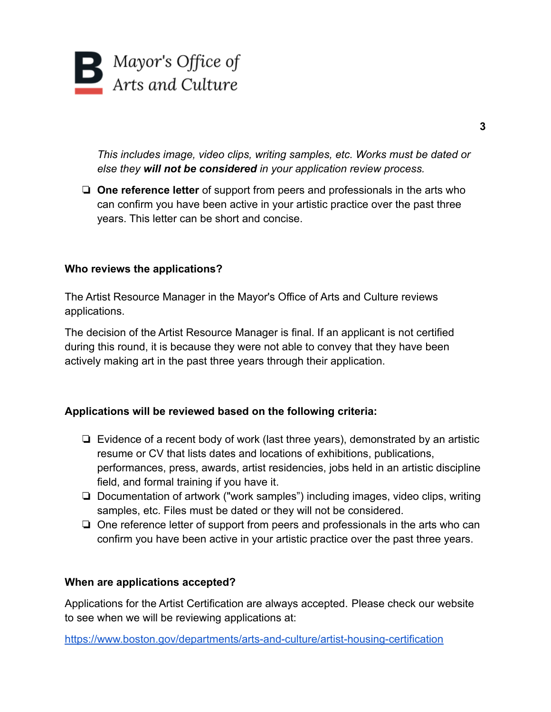

*This includes image, video clips, writing samples, etc. Works must be dated or else they will not be considered in your application review process.*

❏ **One reference letter** of support from peers and professionals in the arts who can confirm you have been active in your artistic practice over the past three years. This letter can be short and concise.

#### **Who reviews the applications?**

The Artist Resource Manager in the Mayor's Office of Arts and Culture reviews applications.

The decision of the Artist Resource Manager is final. If an applicant is not certified during this round, it is because they were not able to convey that they have been actively making art in the past three years through their application.

### **Applications will be reviewed based on the following criteria:**

- ❏ Evidence of a recent body of work (last three years), demonstrated by an artistic resume or CV that lists dates and locations of exhibitions, publications, performances, press, awards, artist residencies, jobs held in an artistic discipline field, and formal training if you have it.
- ❏ Documentation of artwork ("work samples") including images, video clips, writing samples, etc. Files must be dated or they will not be considered.
- ❏ One reference letter of support from peers and professionals in the arts who can confirm you have been active in your artistic practice over the past three years.

#### **When are applications accepted?**

Applications for the Artist Certification are always accepted. [Please check our website](https://www.boston.gov/departments/arts-and-culture/artist-certification) [to see when we will be reviewing applications](https://www.boston.gov/departments/arts-and-culture/artist-certification) at:

<https://www.boston.gov/departments/arts-and-culture/artist-housing-certification>